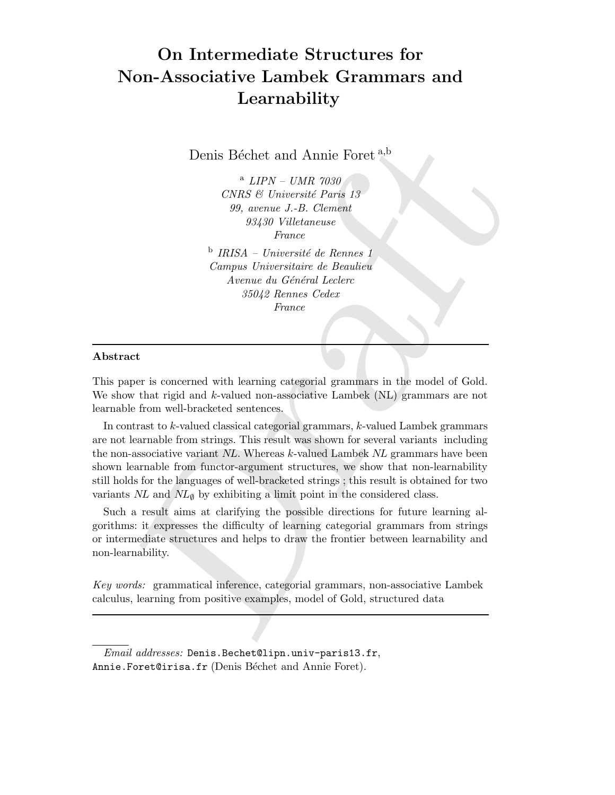# On Intermediate Structures for Non-Associative Lambek Grammars and Learnability

Denis Béchet and Annie Foret a,b

<sup>a</sup> LIPN – UMR 7030 CNRS & Université Paris 13 99, avenue J.-B. Clement 93430 Villetaneuse France

 $b$  IRISA – Université de Rennes 1 Campus Universitaire de Beaulieu Avenue du Général Leclerc 35042 Rennes Cedex France

## Abstract

This paper is concerned with learning categorial grammars in the model of Gold. We show that rigid and k-valued non-associative Lambek (NL) grammars are not learnable from well-bracketed sentences.

Denis Béchet and Annie Foret <sup>a,b</sup><br>
a LIFN - UMR 7089<br>
CNRS & Université Paris 13<br>
99, avenue J.-D. Clement<br>
193, and the convention of the contract of the contract of the contract of the contract of the contract of the c In contrast to k-valued classical categorial grammars, k-valued Lambek grammars are not learnable from strings. This result was shown for several variants including the non-associative variant  $NL$ . Whereas k-valued Lambek  $NL$  grammars have been shown learnable from functor-argument structures, we show that non-learnability still holds for the languages of well-bracketed strings ; this result is obtained for two variants  $NL$  and  $NL$ <sup> $\theta$ </sup> by exhibiting a limit point in the considered class.

Such a result aims at clarifying the possible directions for future learning algorithms: it expresses the difficulty of learning categorial grammars from strings or intermediate structures and helps to draw the frontier between learnability and non-learnability.

Key words: grammatical inference, categorial grammars, non-associative Lambek calculus, learning from positive examples, model of Gold, structured data

Email addresses: Denis.Bechet@lipn.univ-paris13.fr, Annie.Foret@irisa.fr (Denis Béchet and Annie Foret).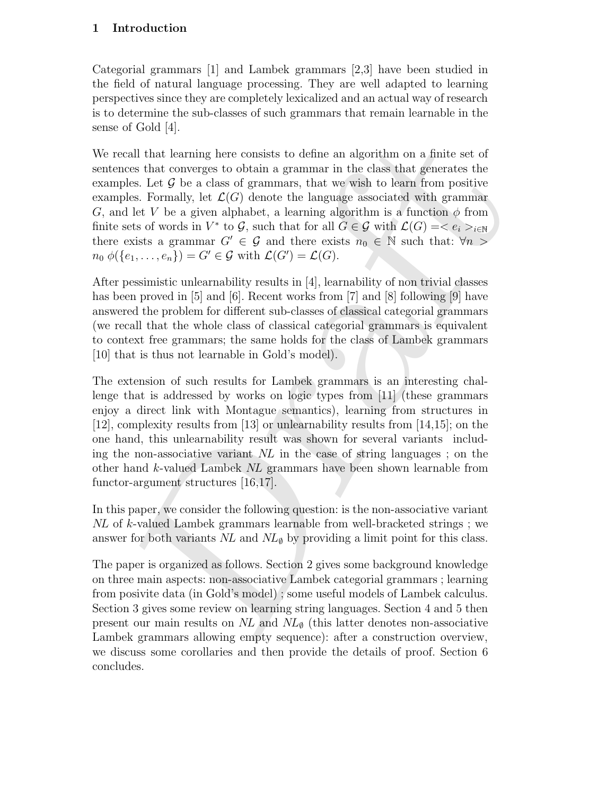## 1 Introduction

Categorial grammars [1] and Lambek grammars [2,3] have been studied in the field of natural language processing. They are well adapted to learning perspectives since they are completely lexicalized and an actual way of research is to determine the sub-classes of such grammars that remain learnable in the sense of Gold [4].

We recall that learning here consists to define an algorithm on a finite set of sentences that converges to obtain a grammar in the class that generates the examples. Let  $\mathcal G$  be a class of grammars, that we wish to learn from positive examples. Formally, let  $\mathcal{L}(G)$  denote the language associated with grammar G, and let V be a given alphabet, a learning algorithm is a function  $\phi$  from finite sets of words in  $V^*$  to  $\mathcal{G}$ , such that for all  $G \in \mathcal{G}$  with  $\mathcal{L}(G) = \langle e_i \rangle_{i \in \mathbb{N}}$ there exists a grammar  $G' \in \mathcal{G}$  and there exists  $n_0 \in \mathbb{N}$  such that:  $\forall n >$  $n_0 \phi(\{e_1,\ldots,e_n\}) = G' \in \mathcal{G}$  with  $\mathcal{L}(G') = \mathcal{L}(G)$ .

After pessimistic unlearnability results in [4], learnability of non trivial classes has been proved in [5] and [6]. Recent works from [7] and [8] following [9] have answered the problem for different sub-classes of classical categorial grammars (we recall that the whole class of classical categorial grammars is equivalent to context free grammars; the same holds for the class of Lambek grammars [10] that is thus not learnable in Gold's model).

all that learning here consists to define an algorithm on a finite set of<br>est that converges to obtain a grammar in the class that generates the<br>fos. Let  $\mathcal{D}$  be a class of grammars, that we wish to learn from positiv The extension of such results for Lambek grammars is an interesting challenge that is addressed by works on logic types from [11] (these grammars enjoy a direct link with Montague semantics), learning from structures in [12], complexity results from [13] or unlearnability results from [14,15]; on the one hand, this unlearnability result was shown for several variants including the non-associative variant  $NL$  in the case of string languages; on the other hand k-valued Lambek NL grammars have been shown learnable from functor-argument structures [16,17].

In this paper, we consider the following question: is the non-associative variant NL of k-valued Lambek grammars learnable from well-bracketed strings ; we answer for both variants  $NL$  and  $NL$ <sup> $\phi$ </sup> by providing a limit point for this class.

The paper is organized as follows. Section 2 gives some background knowledge on three main aspects: non-associative Lambek categorial grammars ; learning from posivite data (in Gold's model) ; some useful models of Lambek calculus. Section 3 gives some review on learning string languages. Section 4 and 5 then present our main results on  $NL$  and  $NL$ <sup> $\phi$ </sup> (this latter denotes non-associative Lambek grammars allowing empty sequence): after a construction overview, we discuss some corollaries and then provide the details of proof. Section 6 concludes.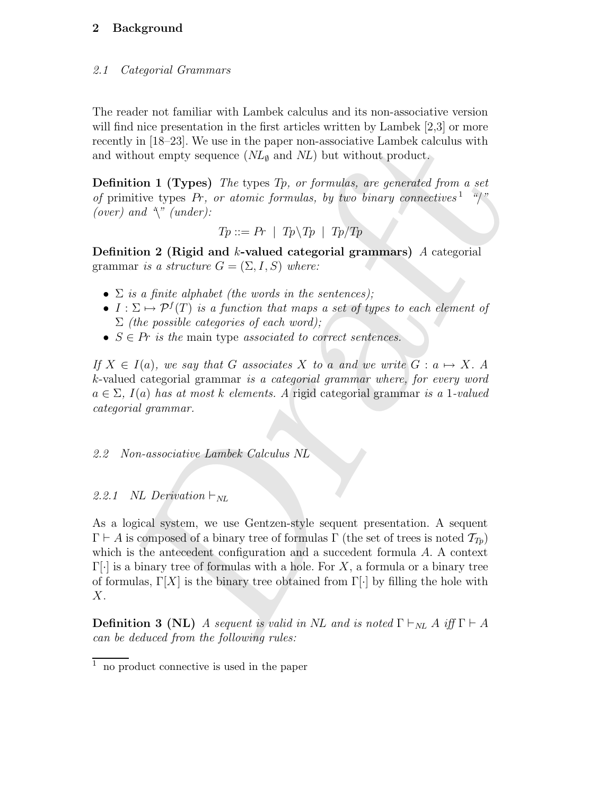## 2 Background

## 2.1 Categorial Grammars

The reader not familiar with Lambek calculus and its non-associative version will find nice presentation in the first articles written by Lambek [2,3] or more recently in [18–23]. We use in the paper non-associative Lambek calculus with and without empty sequence  $(NL_{\emptyset}$  and  $NL)$  but without product.

**Definition 1 (Types)** The types  $Tp$ , or formulas, are generated from a set of primitive types Pr, or atomic formulas, by two binary connectives  $1 \gamma$ (over) and  $\gamma$ " (under):

$$
Tp ::= Pr \mid Tp \backslash Tp \mid Tp/Tp
$$

Definition 2 (Rigid and k-valued categorial grammars)  $\Lambda$  categorial grammar is a structure  $G = (\Sigma, I, S)$  where:

- $\Sigma$  is a finite alphabet (the words in the sentences);
- $I: \Sigma \mapsto \mathcal{P}^f(T)$  is a function that maps a set of types to each element of  $\Sigma$  (the possible categories of each word);
- $S \in Pr$  is the main type associated to correct sentences.

If  $X \in I(a)$ , we say that G associates X to a and we write  $G : a \mapsto X$ . A k-valued categorial grammar is a categorial grammar where, for every word  $a \in \Sigma$ ,  $I(a)$  has at most k elements. A rigid categorial grammar is a 1-valued categorial grammar.

## 2.2 Non-associative Lambek Calculus NL

## 2.2.1 NL Derivation  $\vdash_{NL}$

y in [18-23]. We use in the paper non-associative Lambek calculus with<br>thout empty sequence  $(Nl_q)$  and  $NL$ ) but without product,<br>tion 1 (Types) The types  $T_p$ , or formales, by two binary connectives<sup>1</sup><sup>27</sup><br>and  $\sqrt[n]{\pi}$  As a logical system, we use Gentzen-style sequent presentation. A sequent  $\Gamma \vdash A$  is composed of a binary tree of formulas  $\Gamma$  (the set of trees is noted  $\mathcal{T}_{T_p}$ ) which is the antecedent configuration and a succedent formula A. A context  $\Gamma[\cdot]$  is a binary tree of formulas with a hole. For X, a formula or a binary tree of formulas,  $\Gamma[X]$  is the binary tree obtained from  $\Gamma[\cdot]$  by filling the hole with  $X$ .

**Definition 3 (NL)** A sequent is valid in NL and is noted  $\Gamma \vdash_{NL} A$  iff  $\Gamma \vdash A$ can be deduced from the following rules:

<sup>1</sup> no product connective is used in the paper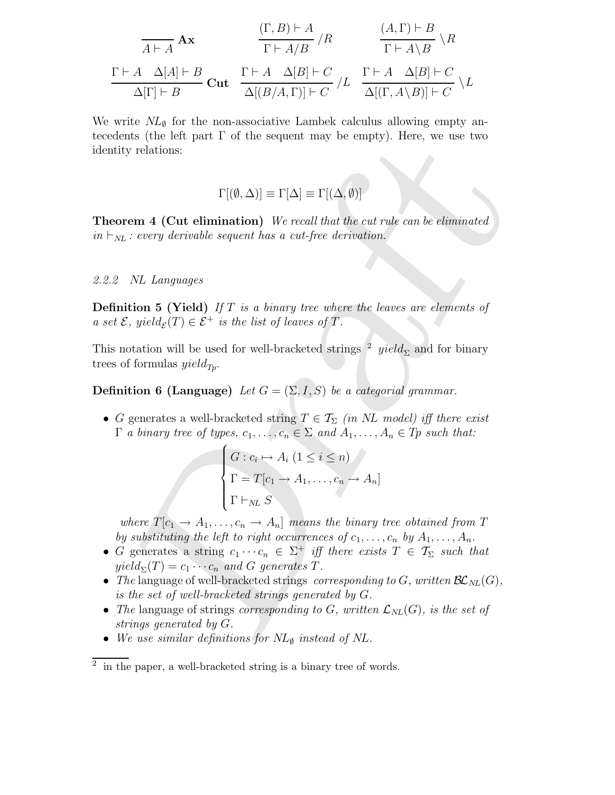$$
\frac{(\Gamma, B) \vdash A}{A \vdash A} \mathbf{A} \mathbf{x} \qquad \frac{(\Gamma, B) \vdash A}{\Gamma \vdash A/B} / R \qquad \frac{(A, \Gamma) \vdash B}{\Gamma \vdash A \setminus B} \setminus R
$$
\n
$$
\frac{\Gamma \vdash A \quad \Delta[A] \vdash B}{\Delta[\Gamma] \vdash B} \mathbf{Cut} \quad \frac{\Gamma \vdash A \quad \Delta[B] \vdash C}{\Delta[(B/A, \Gamma)] \vdash C} / L \quad \frac{\Gamma \vdash A \quad \Delta[B] \vdash C}{\Delta[(\Gamma, A \setminus B)] \vdash C} \setminus L
$$

We write  $NL_{\emptyset}$  for the non-associative Lambek calculus allowing empty antecedents (the left part  $\Gamma$  of the sequent may be empty). Here, we use two identity relations:

$$
\Gamma[(\emptyset,\Delta)] \equiv \Gamma[\Delta] \equiv \Gamma[(\Delta,\emptyset)]
$$

Theorem 4 (Cut elimination) We recall that the cut rule can be eliminated in  $\vdash_{NL}$ : every derivable sequent has a cut-free derivation.

## 2.2.2 NL Languages

**Definition 5 (Yield)** If T is a binary tree where the leaves are elements of a set  $\mathcal{E}$ , yield<sub> $\mathcal{E}(T) \in \mathcal{E}^+$  is the list of leaves of T.</sub>

This notation will be used for well-bracketed strings  $2$  yield<sub>Σ</sub> and for binary trees of formulas  $yield_{Tp}$ .

**Definition 6 (Language)** Let  $G = (\Sigma, I, S)$  be a categorial grammar.

• G generates a well-bracketed string  $T \in \mathcal{T}_{\Sigma}$  (in NL model) iff there exist  $\Gamma$  a binary tree of types,  $c_1, \ldots, c_n \in \Sigma$  and  $A_1, \ldots, A_n \in T_p$  such that:

its (the left part 1 of the sequent may be empty). Here, we use two  
\nrelations:  
\n
$$
\Gamma[(\emptyset, \Delta)] \equiv \Gamma[\Delta] \equiv \Gamma[(\Delta, \emptyset)]
$$
\nrem 4 (Cut elimination) We recall that the cut rule can be eliminated  
\n: every derivable sequent has a cut-free derivation.  
\nNL Languages  
\ntion 5 (Yield) If T is a binary tree where the leaves are elements of  
\n', yield<sub>\xi</sub>(T)  $\in \mathcal{E}^+$  is the list of leaves of T.  
\nrotation will be used for well-bracketed strings <sup>2</sup> yield<sub>\Sigma</sub> and for binary  
\nf formulas yield<sub>Tp</sub>.  
\ntion 6 (Language) Let  $G = (\Sigma, I, S)$  be a categorical grammar.  
\ngenerates a well-bracketed string  $T \in T_{\Sigma}$  (in NL model) iff there exist  
\na binary tree of types,  $c_1, ..., c_n \in \Sigma$  and  $A_1, ..., A_n \in T_p$  such that:  
\n
$$
\begin{cases}\nG: c_i \mapsto A_i (1 \leq i \leq n) \\
\Gamma = T[c_1 \rightarrow A_1, ..., c_n \rightarrow A_n] \\
\Gamma \vdash_{NL} S\n\end{cases}
$$
\nwhere  $T[c_1 \rightarrow A_1, ..., c_n \rightarrow A_n]$  means the binary tree obtained from T  
\nsubstituting the left to right occurrences of  $c_1, ..., c_n$  by  $A_1, ..., A_n$ .  
\ngenerates a string  $c_1 \cdots c_n \in \Sigma^+$  iff there exists  $T \in T_{\Sigma}$  such that  
\neid<sub>\Sigma</sub>(T) =  $c_1 \cdots c_n$  and G generates T.  
\nthe language of well-bracketed strings corresponding to G, written BC<sub>NL</sub>(G),  
\nthe set of well-bracketed strings generated by G.  
\ne language of strings corresponding to G, written  $L_{NL}(G)$ , is the set of  
\nreg generated by G.

where  $T[c_1 \rightarrow A_1, \ldots, c_n \rightarrow A_n]$  means the binary tree obtained from T by substituting the left to right occurrences of  $c_1, \ldots, c_n$  by  $A_1, \ldots, A_n$ .

- G generates a string  $c_1 \cdots c_n \in \Sigma^+$  iff there exists  $T \in \mathcal{T}_{\Sigma}$  such that  $yield_{\Sigma}(T) = c_1 \cdots c_n$  and G generates T.
- The language of well-bracketed strings corresponding to G, written  $\mathcal{BL}_{NL}(G)$ , is the set of well-bracketed strings generated by G.
- The language of strings corresponding to G, written  $\mathcal{L}_{NL}(G)$ , is the set of strings generated by G.
- We use similar definitions for  $NL_{\emptyset}$  instead of NL.

<sup>2</sup> in the paper, a well-bracketed string is a binary tree of words.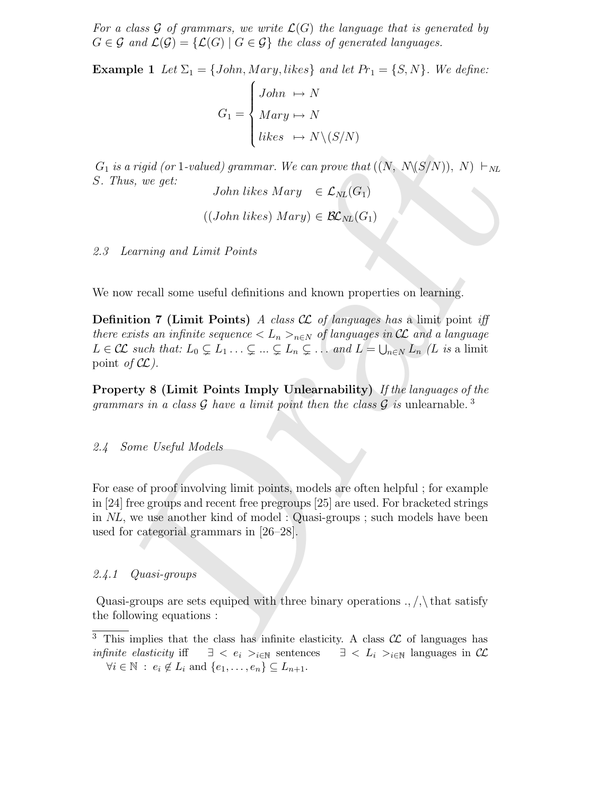For a class G of grammars, we write  $\mathcal{L}(G)$  the language that is generated by  $G \in \mathcal{G}$  and  $\mathcal{L}(\mathcal{G}) = {\{\mathcal{L}(G) \mid G \in \mathcal{G}\}\}\$ the class of generated languages.

**Example 1** Let  $\Sigma_1 = \{John, Mary, likes\}$  and let  $Pr_1 = \{S, N\}$ . We define:

$$
G_1 = \begin{cases} John \rightarrow N \\ Mary \rightarrow N \\ likes \rightarrow N \setminus (S/N) \end{cases}
$$

 $G_1$  is a rigid (or 1-valued) grammar. We can prove that  $((N, N\langle S/N\rangle), N) \vdash_{NL}$ S. Thus, we get:

John likes Mary 
$$
\in
$$
  $\mathcal{L}_{NL}(G_1)$ 

$$
((John\,\,likes)\,\,Mary) \in \mathcal{BL}_{NL}(G_1)
$$

## 2.3 Learning and Limit Points

We now recall some useful definitions and known properties on learning.

 $u \to N \setminus (S/N)$ <br>  $u \to \infty$ <br>  $u \to \infty$ <br>  $u \to \infty$ <br>  $u \to \infty$ <br>  $u \to \infty$ <br>  $u \to \infty$ <br>  $u \to \infty$ <br>  $u \to \infty$ <br>  $u \to \infty$ <br>  $u \to \infty$ <br>  $u \to \infty$ <br>  $u \to \infty$ <br>  $u \to \infty$ <br>  $u \to \infty$ <br>  $u \to \infty$ <br>  $u \to \infty$ <br>  $u \to \infty$ <br>  $u \to \infty$ <br>  $u \to \infty$ <br>  $u \to \infty$ <br>  $u \to \in$ **Definition 7 (Limit Points)** A class  $\mathcal{CL}$  of languages has a limit point iff there exists an infinite sequence  $\langle L_n \rangle_{n \in \mathbb{N}}$  of languages in  $\mathcal{CL}$  and a language  $L \in \mathcal{CL}$  such that:  $L_0 \subsetneq L_1 \ldots \subsetneq \ldots \subsetneq L_n \subsetneq \ldots$  and  $L = \bigcup_{n \in N} L_n$  (L is a limit point *of*  $\mathcal{CL}$ ).

Property 8 (Limit Points Imply Unlearnability) If the languages of the grammars in a class  $\mathcal G$  have a limit point then the class  $\mathcal G$  is unlearnable.<sup>3</sup>

## 2.4 Some Useful Models

For ease of proof involving limit points, models are often helpful ; for example in [24] free groups and recent free pregroups [25] are used. For bracketed strings in NL, we use another kind of model : Quasi-groups ; such models have been used for categorial grammars in [26–28].

## 2.4.1 Quasi-groups

Quasi-groups are sets equiped with three binary operations  $\cdot$ ,  $\cdot$ , that satisfy the following equations :

 $\overline{3}$  This implies that the class has infinite elasticity. A class  $\mathcal{CL}$  of languages has *infinite elasticity* iff  $\exists < e_i >_{i \in \mathbb{N}}$  sentences  $\exists < L_i >_{i \in \mathbb{N}}$  languages in  $\mathcal{CL}$  $\forall i \in \mathbb{N} : e_i \notin L_i \text{ and } \{e_1, \ldots, e_n\} \subseteq L_{n+1}.$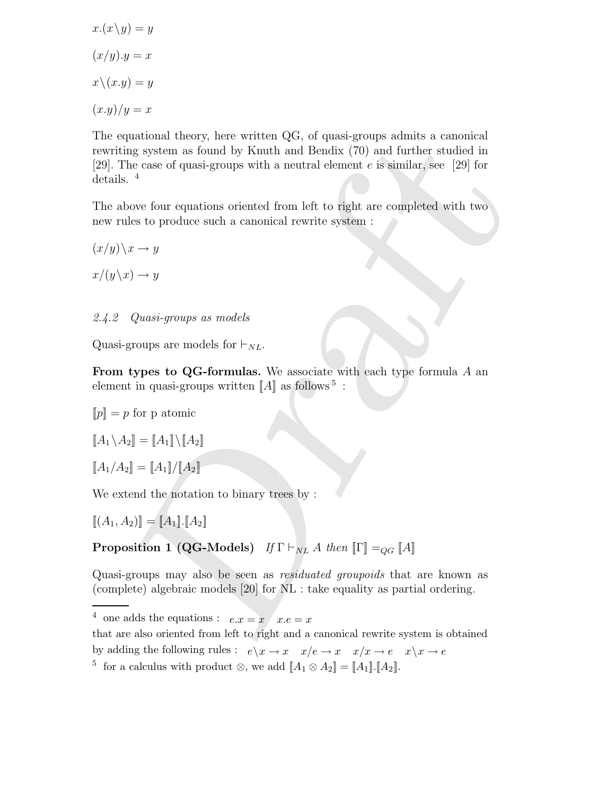$x.(x\backslash y) = y$  $(x/y).y = x$  $x\setminus(x.y) = y$  $(x.y)/y = x$ 

plational theory, new written Qt., or quasi-groups as<br>may system as found by Knuth and Bendix (70) and further stabiled in<br>the case of quasi-groups with a neutral element  $e$  is similar, see [29] for<br> $\frac{4}{3}$ <br>over four e The equational theory, here written QG, of quasi-groups admits a canonical rewriting system as found by Knuth and Bendix (70) and further studied in [29]. The case of quasi-groups with a neutral element e is similar, see [29] for details. <sup>4</sup>

The above four equations oriented from left to right are completed with two new rules to produce such a canonical rewrite system :

$$
(x/y) \backslash x \to y
$$

$$
x/(y \backslash x) \to y
$$

## 2.4.2 Quasi-groups as models

Quasi-groups are models for  $\vdash_{NL}$ .

From types to QG-formulas. We associate with each type formula A an element in quasi-groups written  $[A]$  as follows <sup>5</sup>:

 $[p] = p$  for p atomic

$$
[\![A_1\backslash A_2]\!] = [\![A_1]\!] \backslash [\![A_2]\!]
$$

$$
[\![A_1/A_2]\!] = [\![A_1]\!] / [\![A_2]\!]
$$

We extend the notation to binary trees by :

 $[(A_1, A_2)] = [A_1] \cdot [A_2]$ 

**Proposition 1 (QG-Models)** If  $\Gamma \vdash_{NL} A$  then  $\llbracket \Gamma \rrbracket =_{OG} \llbracket A \rrbracket$ 

Quasi-groups may also be seen as residuated groupoids that are known as (complete) algebraic models [20] for NL : take equality as partial ordering.

that are also oriented from left to right and a canonical rewrite system is obtained

- by adding the following rules :  $e\backslash x \to x \quad x/e \to x \quad x/x \to e \quad x\backslash x \to e$
- <sup>5</sup> for a calculus with product ⊗, we add  $[[A_1 \otimes A_2] = [[A_1] \cdot [A_2]$ .

<sup>&</sup>lt;sup>4</sup> one adds the equations :  $e.x = x \quad x.e = x$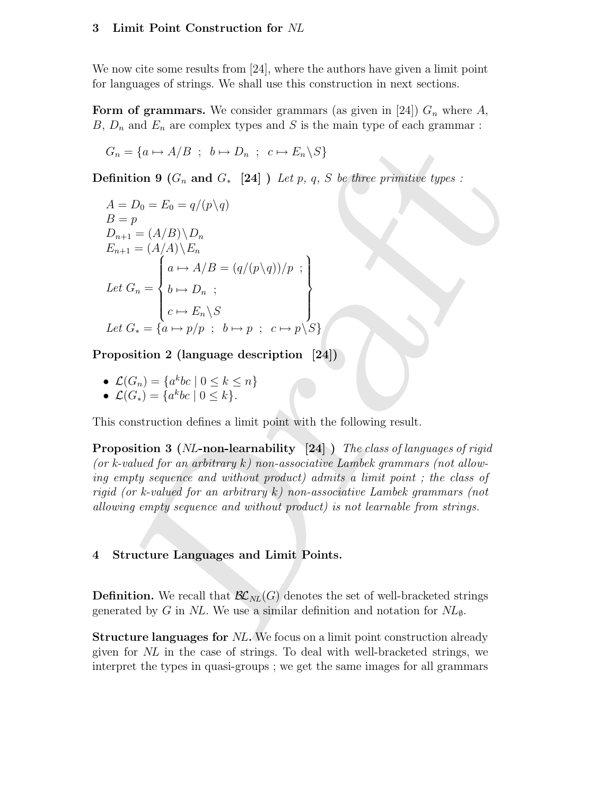## 3 Limit Point Construction for NL

We now cite some results from [24], where the authors have given a limit point for languages of strings. We shall use this construction in next sections.

Form of grammars. We consider grammars (as given in [24])  $G_n$  where A,  $B, D_n$  and  $E_n$  are complex types and S is the main type of each grammar :

$$
G_n = \{a \mapsto A/B \; ; \; b \mapsto D_n \; ; \; c \mapsto E_n \backslash S\}
$$

**Definition 9** ( $G_n$  and  $G_*$  [24] ) Let p, q, S be three primitive types :

$$
G_n = \{a \mapsto A/B \; ; \; b \mapsto D_n \; ; \; c \mapsto E_n \setminus S\}
$$
\n
$$
\text{efinition } 9 \ (G_n \text{ and } G_* \ [24] \) \ Let \ p, \ q, \ S \ be \ three \ primitive \ types : \ A = D_0 = E_0 = q/(p \setminus q)
$$
\n
$$
B = p
$$
\n
$$
D_{n+1} = (A/B) \setminus D_n
$$
\n
$$
E_{n+1} = (A/A) \setminus E_n
$$
\n
$$
\begin{cases}\na \mapsto A/B = (q/(p \setminus q))/p \; ; \ b \mapsto p \; ; \ c \mapsto p \setminus S\}\n\end{cases}
$$
\n
$$
\text{coposition } 2 \text{ (language description [24])}
$$
\n
$$
\begin{cases}\n\mathcal{L}(G_n) = \{a^k bc \mid 0 \le k \le n\} \\
\mathcal{L}(G_n) = \{a^k bc \mid 0 \le k\}.\n\end{cases}
$$
\n
$$
\begin{cases}\n\mathcal{L}(G_n) = \{a^k bc \mid 0 \le k \le n\} \\
\mathcal{L}(G_*) = \{a^k bc \mid 0 \le k\}.\n\end{cases}
$$
\n
$$
\text{dis construction defines a limit point with the following result.}
$$
\n
$$
\text{conposition } 3 \ (NL-non-learning [24]) \ The \ class of languages of \nrigid \nrk-valued \nfor an \narbitrary \nk) \nnon-associative \nLambek \ngram \nmars \n(not \nclowing \nempty \nsequence \nand \nwithout \nproduct) \nad \nunits \na \nlimit \npoint \n;\nthe \ class \nof \nfor \nk-valued \nfor an \narbitrary \nk \n} \nnon-associative \nLambek \ngram \nmars \n(not \nowning \nempty \nsequence \nand \nwithout \nproduct) \nis \nnot \nle \nform \n\nstructure \nLanguages \nand \nLimit \nPoints.\n\ndefinition. We \nrecall that \n $\mathcal{B}_{N}(\mathcal{G})$  \ndenotes the set of \nwell-bracket \nblacked \nsets \nof \nin \nNL. We \nfor \nN. We \nfor \nN. We \nfor \nN. We \nfor \nN. We \nfor \nN. We \nfor
$$

Proposition 2 (language description [24])

- $\mathcal{L}(G_n) = \{a^k bc \mid 0 \leq k \leq n\}$
- $\mathcal{L}(G_*) = \{a^k bc \mid 0 \leq k\}.$

This construction defines a limit point with the following result.

Proposition 3 (NL-non-learnability [24] ) The class of languages of rigid (or k-valued for an arbitrary  $k$ ) non-associative Lambek grammars (not allowing empty sequence and without product) admits a limit point ; the class of rigid (or k-valued for an arbitrary  $k$ ) non-associative Lambek grammars (not allowing empty sequence and without product) is not learnable from strings.

## 4 Structure Languages and Limit Points.

**Definition.** We recall that  $\mathcal{BL}_{NL}(G)$  denotes the set of well-bracketed strings generated by G in NL. We use a similar definition and notation for  $NL_{\varnothing}$ .

**Structure languages for NL.** We focus on a limit point construction already given for NL in the case of strings. To deal with well-bracketed strings, we interpret the types in quasi-groups ; we get the same images for all grammars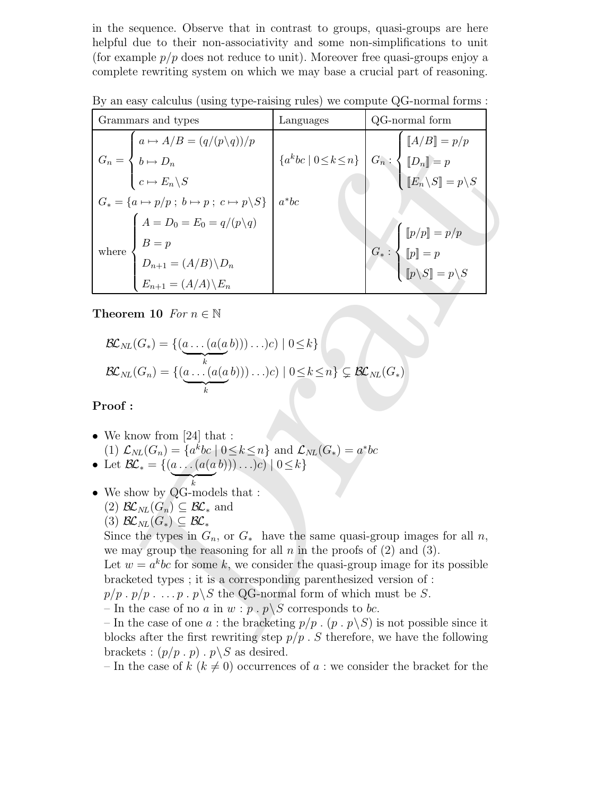in the sequence. Observe that in contrast to groups, quasi-groups are here helpful due to their non-associativity and some non-simplifications to unit (for example  $p/p$  does not reduce to unit). Moreover free quasi-groups enjoy a complete rewriting system on which we may base a crucial part of reasoning.

By an easy calculus (using type-raising rules) we compute QG-normal forms :

| Grammars and types                                                                                                                                                                                                                                                                                                                                                                                                                                                                                                                                                                                                                                                                                                                                                                                                                                                                                                                                                                                                                                             | Languages | QG-normal form |
|----------------------------------------------------------------------------------------------------------------------------------------------------------------------------------------------------------------------------------------------------------------------------------------------------------------------------------------------------------------------------------------------------------------------------------------------------------------------------------------------------------------------------------------------------------------------------------------------------------------------------------------------------------------------------------------------------------------------------------------------------------------------------------------------------------------------------------------------------------------------------------------------------------------------------------------------------------------------------------------------------------------------------------------------------------------|-----------|----------------|
|                                                                                                                                                                                                                                                                                                                                                                                                                                                                                                                                                                                                                                                                                                                                                                                                                                                                                                                                                                                                                                                                |           |                |
| $\begin{aligned} G_n &= \left\{ \begin{aligned} &a \mapsto A/B = (q/(p\backslash q))/p \\ &b \mapsto D_n \\ &c \mapsto E_n \backslash S \end{aligned} \right\} \left\{ \begin{aligned} &a^k bc \mid 0 \leq k \leq n \right\} &\quad G_n: \left\{ \begin{aligned} &\left[ [A/B] = p/p \\ &\left[ D_n \right] = p \\ &\left[ E_n \backslash S \right] = p \backslash S \end{aligned} \right. \right. \\ &\quad \left. G_* = \left\{ a \mapsto p/p \ ;\ b \mapsto p \ ;\ c \mapsto p \backslash S \right\} &\quad a^* bc \\ &\quad B =$                                                                                                                                                                                                                                                                                                                                                                                                                                                                                                                           |           |                |
| <b>Theorem 10</b> For $n \in \mathbb{N}$                                                                                                                                                                                                                                                                                                                                                                                                                                                                                                                                                                                                                                                                                                                                                                                                                                                                                                                                                                                                                       |           |                |
|                                                                                                                                                                                                                                                                                                                                                                                                                                                                                                                                                                                                                                                                                                                                                                                                                                                                                                                                                                                                                                                                |           |                |
| $\mathcal{BL}_{NL}(G_*) = \{(\underbrace{a \dots (a(a b))) \dots} c) \mid 0 \le k\}$<br>$\mathcal{BL}_{NL}(G_n) = \{(\underbrace{a \dots (a(a b))) \dots} c) \mid 0 \le k \le n\} \subsetneq \mathcal{BL}_{NL}(G_*)$                                                                                                                                                                                                                                                                                                                                                                                                                                                                                                                                                                                                                                                                                                                                                                                                                                           |           |                |
| Proof:                                                                                                                                                                                                                                                                                                                                                                                                                                                                                                                                                                                                                                                                                                                                                                                                                                                                                                                                                                                                                                                         |           |                |
| • We know from [24] that :<br>(1) $\mathcal{L}_{NL}(G_n) = \{a^k bc \mid 0 \le k \le n\}$ and $\mathcal{L}_{NL}(G_*) = a^* bc$<br>• Let $\mathcal{BL}_* = \{(\underbrace{a \dots (a(a b))) \dots})c \mid 0 \le k\}$<br>• We show by QG-models that :<br>$(2)$ $\mathcal{BL}_{NL}(G_n) \subseteq \mathcal{BL}_*$ and<br>(3) $\mathcal{BL}_{NL}(G_*) \subset \mathcal{BL}_*$<br>Since the types in $G_n$ , or $G_*$ have the same quasi-group images for all n,<br>we may group the reasoning for all $n$ in the proofs of (2) and (3).<br>Let $w = a^kbc$ for some k, we consider the quasi-group image for its possible<br>bracketed types ; it is a corresponding parenthesized version of :<br>$p/p \cdot p/p \cdot \ldots p \cdot p \setminus S$ the QG-normal form of which must be S.<br>- In the case of no a in $w : p \cdot p \setminus S$ corresponds to bc.<br>- In the case of one a: the bracketing $p/p$ . $(p \cdot p \setminus S)$ is not possible since it<br>blocks after the first rewriting step $p/p$ . S therefore, we have the following |           |                |

$$
\mathcal{BL}_{NL}(G_*) = \{(\underbrace{a \dots (a(a,b))) \dots}c) \mid 0 \le k\}
$$
\n
$$
\mathcal{BL}_{NL}(G_n) = \{(\underbrace{a \dots (a(a,b))) \dots}c) \mid 0 \le k \le n\} \subsetneq \mathcal{BL}_{NL}(G_*)
$$

## Proof :

- We know from [24] that : (1)  $\mathcal{L}_{NL}(G_n) = \{a^{\overline{k}}bc \mid 0 \leq k \leq n\}$  and  $\mathcal{L}_{NL}(G_*) = a^*bc$
- Let  $\mathcal{BL}_* = \{(a \dots (a(a))\})$  $\overline{\phantom{a}}$ b)))....)c)  $|0 \leq k$ }
- We show by QG-models that : (2)  $\mathcal{BL}_{NL}(G_n) \subseteq \mathcal{BL}_*$  and
	- $(3)$   $\mathcal{BL}_{NL}(G_*) \subseteq \mathcal{BL}_*$

– In the case of one a: the bracketing  $p/p$ .  $(p \cdot p \setminus S)$  is not possible since it blocks after the first rewriting step  $p/p$ . S therefore, we have the following brackets :  $(p/p \cdot p) \cdot p \setminus S$  as desired.

– In the case of  $k \ (k \neq 0)$  occurrences of a : we consider the bracket for the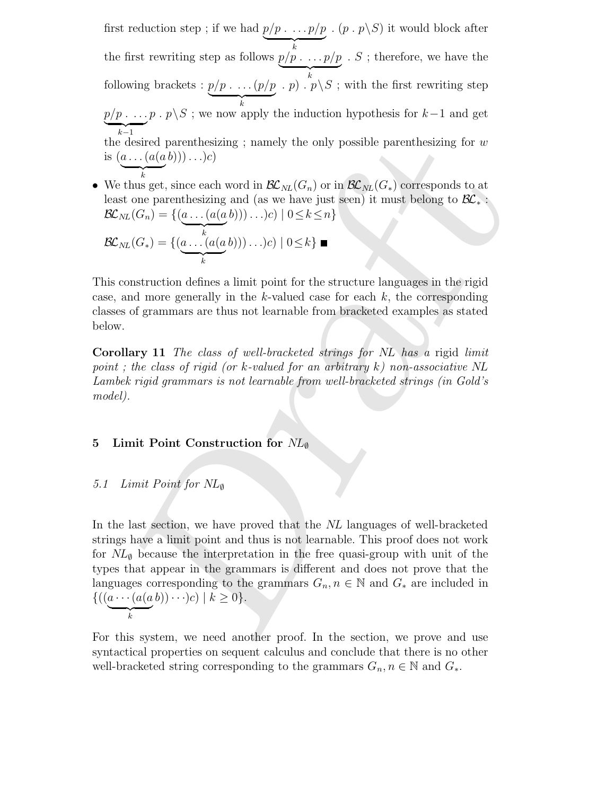first reduction step ; if we had  $p/p \dots p/p$  $\overbrace{k}$ .  $(p \cdot p \setminus S)$  it would block after the first rewriting step as follows  $p/p \dots p/p$  $\overbrace{k}$  $S$ ; therefore, we have the following brackets :  $p/p \ldots (p/p)$  $\overbrace{ }$   $\overbrace{ }$ k . p).  $p \backslash S$ ; with the first rewriting step  $p/p \ldots$  .  $\sum_{k=1}$  $k-1$  $p \cdot p \setminus S$ ; we now apply the induction hypothesis for  $k-1$  and get the desired parenthesizing; namely the only possible parenthesizing for  $w$ is  $(a \dots (a(a b))) \dots) c$  $\overbrace{ }$ 

k • We thus get, since each word in  $\mathcal{BL}_{NL}(G_n)$  or in  $\mathcal{BL}_{NL}(G_*)$  corresponds to at least one parenthesizing and (as we have just seen) it must belong to  $\mathcal{BL}_*$ :  $\mathcal{BL}_{NL}(G_n) = \{(a \dots (a(a))$  $\overbrace{k}$ b))....)c)  $\mid 0 \leq k \leq n$  $\mathcal{BL}_{NL}(G_{*}) = \{(a \dots (a(a))$  $(b))$ )...)c)  $|0 \le k\}$ 

This construction defines a limit point for the structure languages in the rigid case, and more generally in the 
$$
k
$$
-valued case for each  $k$ , the corresponding classes of grammars are thus not learnable from bracketed examples as stated below.

Corollary 11 The class of well-bracketed strings for NL has a rigid limit point ; the class of rigid (or k-valued for an arbitrary  $k$ ) non-associative NL Lambek rigid grammars is not learnable from well-bracketed strings (in Gold's model).

## 5 Limit Point Construction for  $NL_{\emptyset}$

 $\overbrace{k}$ 

#### 5.1 Limit Point for  $NL_{\emptyset}$

desired parenthesizing ; namely the only possible parenthesizing for  $w = \frac{N - (a(a b))) \ldots (c)}{k}$ <br>
Lus get, since each word in  $\mathcal{L}_{\infty, N}(G_n)$  or in  $\mathcal{R}_{\infty, N}(G_n)$  corresponds to at<br>
lus get, since each word in  $\mathcal{L}_{\infty$ In the last section, we have proved that the NL languages of well-bracketed strings have a limit point and thus is not learnable. This proof does not work for  $NL_{\emptyset}$  because the interpretation in the free quasi-group with unit of the types that appear in the grammars is different and does not prove that the languages corresponding to the grammars  $G_n, n \in \mathbb{N}$  and  $G_*$  are included in  $\{((a \cdots (a(a b)) \cdots )c) \mid k \ge 0\}.$  $\overbrace{k}$ 

For this system, we need another proof. In the section, we prove and use syntactical properties on sequent calculus and conclude that there is no other well-bracketed string corresponding to the grammars  $G_n, n \in \mathbb{N}$  and  $G_*$ .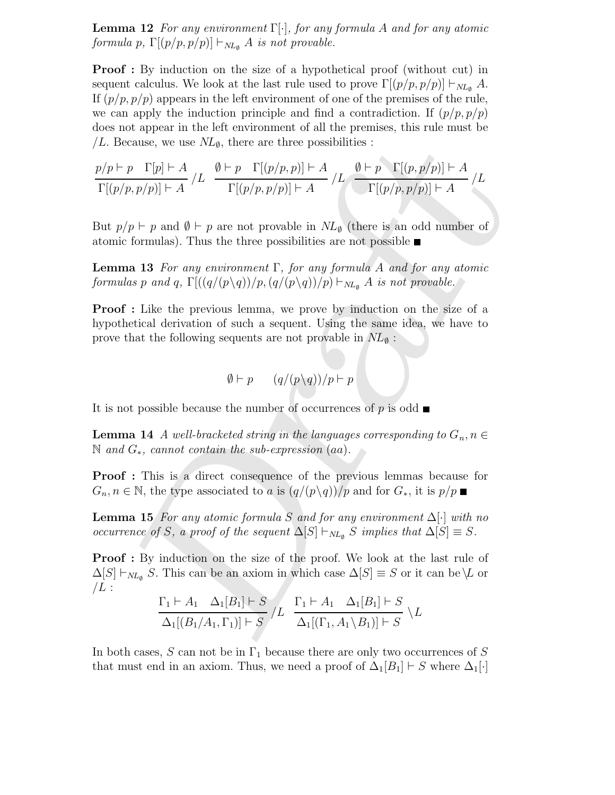**Lemma 12** For any environment  $\Gamma[\cdot]$ , for any formula A and for any atomic formula p,  $\Gamma[(p/p, p/p)] \vdash_{NL_{\emptyset}} A$  is not provable.

**Proof**: By induction on the size of a hypothetical proof (without cut) in sequent calculus. We look at the last rule used to prove  $\Gamma[(p/p, p/p)] \vdash_{NL_{\varnothing}} A$ . If  $(p/p, p/p)$  appears in the left environment of one of the premises of the rule, we can apply the induction principle and find a contradiction. If  $(p/p, p/p)$ does not appear in the left environment of all the premises, this rule must be /L. Because, we use  $NL_{\emptyset}$ , there are three possibilities :

*/L*. Because, we use *NL*<sub>θ</sub>, there are three possibilities :  
\n
$$
\frac{p/p \vdash p \quad \Gamma[p] \vdash A}{\Gamma[(p/p, p/p)] \vdash A}/L \xrightarrow{\emptyset \vdash p \quad \Gamma[(p/p, p/p)] \vdash A}/L \xrightarrow{\emptyset \vdash p \quad \Gamma[(p/p, p/p)] \vdash A}/L
$$
\nBut  $p/p \vdash p$  and  $\emptyset \vdash p$  are not provable in *NL*<sub>φ</sub> (there is an odd number of atomic formulas). Thus the three possibilities are not possible **■**  
\n**Lemma 13** For any environment Γ, for any formula A and for any atomic formulas p and q, Γ[((q/(p\setminus q))/p, (q/(p\setminus q))/p) \vdash\_{NL\_{φ}} A is not provable.  
\n**Proof** : Like the previous lemma, we prove by induction on the size of a hypothetical derivation of such a sequent. Using the same idea, we have to prove that the following sequents are not provable in *NL*<sub>φ</sub> :  
\n
$$
\emptyset \vdash p \qquad (q/(p\setminus q))/p \vdash p
$$
\nIt is not possible because the number of occurrences of p is odd **■**  
\n**Lemma 14** A well-bracketed string in the languages corresponding to *G*<sub>n</sub>, n ∈ N and *G*<sub>\*</sub>, cannot contain the sub-expression (aa).  
\n**Proof** : This is a direct consequence of the previous lemmas because for *G*<sub>n</sub>, n ∈ N, the type associated to a is (q/(p\setminus q))/p and for *G*<sub>\*</sub>, it is  $p/p$  **■**  
\n**Lemma 15** For any atomic formula *S* and for any environment Δ[·] with no occurrence of *S*, a proof of the sequent Δ[*S*] \vdash\_{NL\_{φ}} *S* implies that Δ[*S*]  $\equiv$  *S*.  
\n**Proof** : By induction on the size of the proof. We look at the last rule of Δ[*S*]<sup>+</sup> *NL<sub>φ</sub> S*. This can be an axiom in which case Δ[*S*]  $\equiv$  *S* or it can be  $\downarrow$  *L*  $\frac{\Gamma_1 \vdash A_1 \quad \Delta_1[B_1] \vdash S}{\Delta_1[(B_1/A_1,$ 

But  $p/p \vdash p$  and  $\emptyset \vdash p$  are not provable in  $NL_{\emptyset}$  (there is an odd number of atomic formulas). Thus the three possibilities are not possible

**Lemma 13** For any environment  $\Gamma$ , for any formula A and for any atomic formulas p and q,  $\Gamma[(\frac{q}{p\qquadq})/p, \frac{q}{p\qquadq))/p} \vdash_{NL_{\emptyset}} A$  is not provable.

Proof : Like the previous lemma, we prove by induction on the size of a hypothetical derivation of such a sequent. Using the same idea, we have to prove that the following sequents are not provable in  $NL_{\emptyset}$ :

$$
\emptyset \vdash p \qquad (q/(p \setminus q))/p \vdash p
$$

It is not possible because the number of occurrences of  $p$  is odd

**Lemma 14** A well-bracketed string in the languages corresponding to  $G_n, n \in$  $\mathbb N$  and  $G_*$ , cannot contain the sub-expression (aa).

Proof : This is a direct consequence of the previous lemmas because for  $G_n, n \in \mathbb{N}$ , the type associated to a is  $\left(\frac{q}{p\qquad q)\right)/p$  and for  $G_*$ , it is  $p/p$ 

**Lemma 15** For any atomic formula S and for any environment  $\Delta[\cdot]$  with no occurrence of S, a proof of the sequent  $\Delta[S] \vdash_{NL_{\emptyset}} S$  implies that  $\Delta[S] \equiv S$ .

**Proof**: By induction on the size of the proof. We look at the last rule of  $\Delta[S] \vdash_{NL_{\emptyset}} S$ . This can be an axiom in which case  $\Delta[S] \equiv S$  or it can be  $\setminus L$  or  $/L:$ 

$$
\frac{\Gamma_1 \vdash A_1 \quad \Delta_1[B_1] \vdash S}{\Delta_1[(B_1/A_1,\Gamma_1)] \vdash S} / L \quad \frac{\Gamma_1 \vdash A_1 \quad \Delta_1[B_1] \vdash S}{\Delta_1[(\Gamma_1,A_1 \setminus B_1)] \vdash S} \setminus L
$$

In both cases, S can not be in  $\Gamma_1$  because there are only two occurrences of S that must end in an axiom. Thus, we need a proof of  $\Delta_1[B_1] \vdash S$  where  $\Delta_1[\cdot]$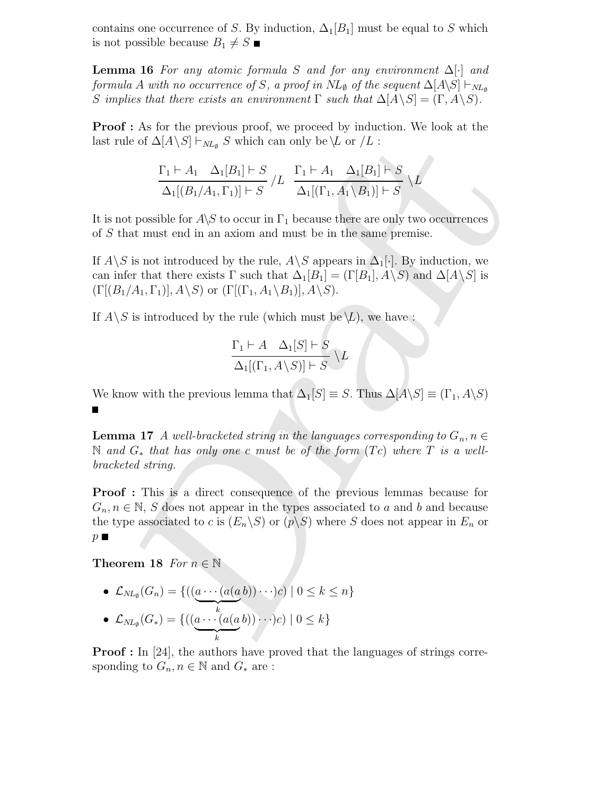contains one occurrence of S. By induction,  $\Delta_1[B_1]$  must be equal to S which is not possible because  $B_1 \neq S$ 

**Lemma 16** For any atomic formula S and for any environment  $\Delta[\cdot]$  and formula A with no occurrence of S, a proof in  $NL_{\emptyset}$  of the sequent  $\Delta[A\setminus S] \vdash_{NL_{\emptyset}}$ S implies that there exists an environment  $\Gamma$  such that  $\Delta[A\setminus S] = (\Gamma, A\setminus S)$ .

**Proof**: As for the previous proof, we proceed by induction. We look at the last rule of  $\Delta[A \setminus S] \vdash_{NL_{\emptyset}} S$  which can only be  $\setminus L$  or  $/L$  :

$$
\frac{\Gamma_1 \vdash A_1 \quad \Delta_1[B_1] \vdash S}{\Delta_1[(B_1/A_1,\Gamma_1)] \vdash S} / L \quad \frac{\Gamma_1 \vdash A_1 \quad \Delta_1[B_1] \vdash S}{\Delta_1[(\Gamma_1,A_1 \setminus B_1)] \vdash S} \setminus L
$$

It is not possible for  $A\& S$  to occur in  $\Gamma_1$  because there are only two occurrences of S that must end in an axiom and must be in the same premise.

If  $A \setminus S$  is not introduced by the rule,  $A \setminus S$  appears in  $\Delta_1[\cdot]$ . By induction, we can infer that there exists  $\Gamma$  such that  $\Delta_1[B_1] = (\Gamma[B_1], A \setminus S)$  and  $\Delta[A \setminus S]$  is  $(\Gamma[(B_1/A_1,\Gamma_1)], \mathcal{A}\backslash\mathcal{S})$  or  $(\Gamma[(\Gamma_1, A_1 \backslash B_1)], \mathcal{A}\backslash\mathcal{S}).$ 

If  $A \setminus S$  is introduced by the rule (which must be  $\setminus L$ ), we have :

$$
\frac{\Gamma_1 \vdash A \quad \Delta_1[S] \vdash S}{\Delta_1[(\Gamma_1, A \setminus S)] \vdash S} \setminus L
$$

We know with the previous lemma that  $\Delta_1[S] \equiv S$ . Thus  $\Delta[A\setminus S] \equiv (\Gamma_1, A\setminus S)$  $\blacksquare$ 

**Lemma 17** A well-bracketed string in the languages corresponding to  $G_n, n \in$ N and  $G_*$  that has only one c must be of the form  $(Tc)$  where T is a wellbracketed string.

le of  $\Delta[A\setminus S] \vdash_{N,q} S$  which can only be  $\bigvee$  or  $/L$ :<br>  $\frac{\Gamma_1 \vdash A_1 \Delta_1[B_1] \vdash S}{\Delta_1[(B_1/A_1,\Gamma_1)] \vdash S}$ ,  $/L \frac{\Gamma_1 \vdash A_1 \Delta_1[B_1] \vdash S}{\Delta_1[(\Gamma_1, A_1 \setminus B_1)] \vdash S}$ ,  $L$ <br>
the possible for  $A\setminus S$  to occur in  $\Gamma_1$  because Proof : This is a direct consequence of the previous lemmas because for  $G_n, n \in \mathbb{N}, S$  does not appear in the types associated to a and b and because the type associated to c is  $(E_n \backslash S)$  or  $(p \backslash S)$  where S does not appear in  $E_n$  or  $p\blacksquare$ 

Theorem 18 For  $n \in \mathbb{N}$ 

• 
$$
\mathcal{L}_{NL_{\emptyset}}(G_n) = \{((\underbrace{a \cdots (a(a b)) \cdots )c}_{k}) \mid 0 \leq k \leq n\}
$$
  
\n•  $\mathcal{L}_{NL_{\emptyset}}(G_*) = \{((\underbrace{a \cdots (a(a b)) \cdots )c}_{k}) \mid 0 \leq k\}$ 

**Proof**: In [24], the authors have proved that the languages of strings corresponding to  $G_n, n \in \mathbb{N}$  and  $G_*$  are :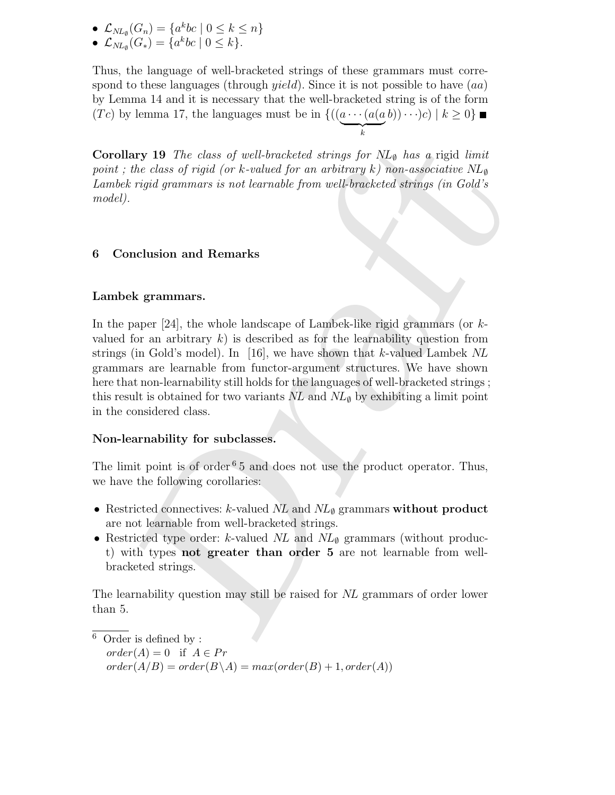- $\mathcal{L}_{NL_{\emptyset}}(G_n) = \{a^k bc \mid 0 \leq k \leq n\}$
- $\mathcal{L}_{NL_{\emptyset}}(G_*) = \{a^kbc \mid 0 \leq k\}.$

Thus, the language of well-bracketed strings of these grammars must correspond to these languages (through  $yield$ ). Since it is not possible to have  $(aa)$ by Lemma 14 and it is necessary that the well-bracketed string is of the form (Tc) by lemma 17, the languages must be in  $\{((a \cdots (a(a b)) \cdots )c) \mid k \ge 0\}$  $\sum_{k}$ k

**Corollary 19** The class of well-bracketed strings for  $NL_{\phi}$  has a rigid limit point ; the class of rigid (or k-valued for an arbitrary k) non-associative  $NL_{\emptyset}$ Lambek rigid grammars is not learnable from well-bracketed strings (in Gold's model).

# 6 Conclusion and Remarks

# Lambek grammars.

**Hary 19** The class of well-bracketed strings for NL<sub>8</sub> has a rigid limit<br>the class of rigid (or k-valued for an arbitrary k) non-associative NL<sub>8</sub><br>tripld grammars is not learnable from arbitrary k) non-associative NL<sub>8</sub><br> In the paper  $[24]$ , the whole landscape of Lambek-like rigid grammars (or kvalued for an arbitrary  $k$ ) is described as for the learnability question from strings (in Gold's model). In [16], we have shown that k-valued Lambek  $NL$ grammars are learnable from functor-argument structures. We have shown here that non-learnability still holds for the languages of well-bracketed strings ; this result is obtained for two variants  $NL$  and  $NL$ <sup> $\phi$ </sup> by exhibiting a limit point in the considered class.

## Non-learnability for subclasses.

The limit point is of order<sup>6</sup> 5 and does not use the product operator. Thus, we have the following corollaries:

- Restricted connectives: k-valued  $NL$  and  $NL$ <sup> $\theta$ </sup> grammars without product are not learnable from well-bracketed strings.
- Restricted type order: k-valued  $NL$  and  $NL$  grammars (without product) with types not greater than order 5 are not learnable from wellbracketed strings.

The learnability question may still be raised for NL grammars of order lower than 5.

 $6$  Order is defined by:  $order(A) = 0$  if  $A \in Pr$  $order(A/B) = order(B \setminus A) = max(order(B) + 1, order(A))$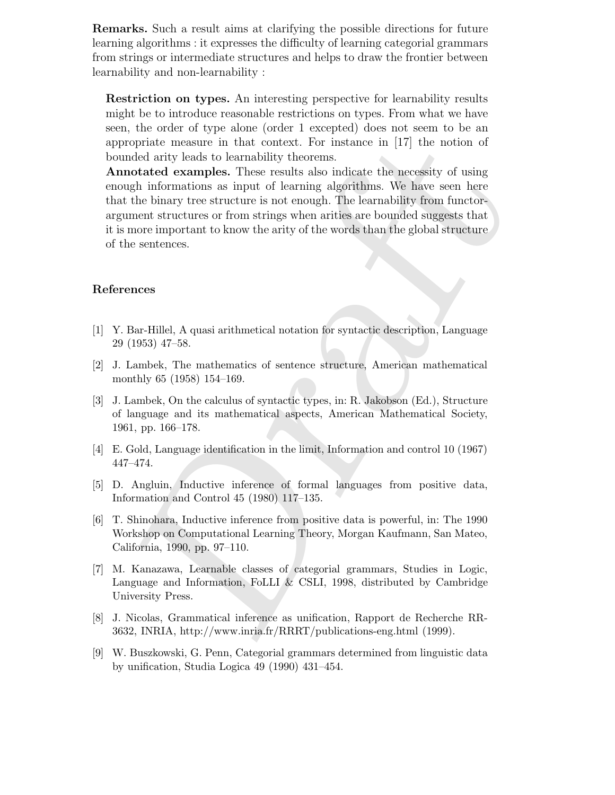Remarks. Such a result aims at clarifying the possible directions for future learning algorithms : it expresses the difficulty of learning categorial grammars from strings or intermediate structures and helps to draw the frontier between learnability and non-learnability :

Restriction on types. An interesting perspective for learnability results might be to introduce reasonable restrictions on types. From what we have seen, the order of type alone (order 1 excepted) does not seem to be an appropriate measure in that context. For instance in [17] the notion of bounded arity leads to learnability theorems.

ropriate measure in that context. For instance in [17] the notion of<br>notated arity leads to learnability theorens.<br>
notated cxamples. These results also indicate the necessity of using<br>
notated cxamples. These results als Annotated examples. These results also indicate the necessity of using enough informations as input of learning algorithms. We have seen here that the binary tree structure is not enough. The learnability from functorargument structures or from strings when arities are bounded suggests that it is more important to know the arity of the words than the global structure of the sentences.

## References

- [1] Y. Bar-Hillel, A quasi arithmetical notation for syntactic description, Language 29 (1953) 47–58.
- [2] J. Lambek, The mathematics of sentence structure, American mathematical monthly 65 (1958) 154–169.
- [3] J. Lambek, On the calculus of syntactic types, in: R. Jakobson (Ed.), Structure of language and its mathematical aspects, American Mathematical Society, 1961, pp. 166–178.
- [4] E. Gold, Language identification in the limit, Information and control 10 (1967) 447–474.
- [5] D. Angluin, Inductive inference of formal languages from positive data, Information and Control 45 (1980) 117–135.
- [6] T. Shinohara, Inductive inference from positive data is powerful, in: The 1990 Workshop on Computational Learning Theory, Morgan Kaufmann, San Mateo, California, 1990, pp. 97–110.
- [7] M. Kanazawa, Learnable classes of categorial grammars, Studies in Logic, Language and Information, FoLLI & CSLI, 1998, distributed by Cambridge University Press.
- [8] J. Nicolas, Grammatical inference as unification, Rapport de Recherche RR-3632, INRIA, http://www.inria.fr/RRRT/publications-eng.html (1999).
- [9] W. Buszkowski, G. Penn, Categorial grammars determined from linguistic data by unification, Studia Logica 49 (1990) 431–454.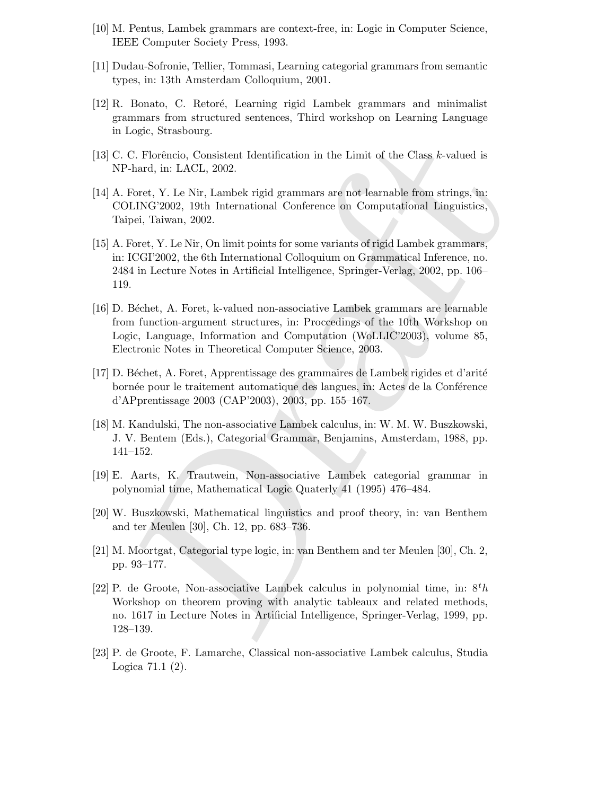- [10] M. Pentus, Lambek grammars are context-free, in: Logic in Computer Science, IEEE Computer Society Press, 1993.
- [11] Dudau-Sofronie, Tellier, Tommasi, Learning categorial grammars from semantic types, in: 13th Amsterdam Colloquium, 2001.
- [12] R. Bonato, C. Retoré, Learning rigid Lambek grammars and minimalist grammars from structured sentences, Third workshop on Learning Language in Logic, Strasbourg.
- [13] C. C. Florêncio, Consistent Identification in the Limit of the Class k-valued is NP-hard, in: LACL, 2002.
- [14] A. Foret, Y. Le Nir, Lambek rigid grammars are not learnable from strings, in: COLING'2002, 19th International Conference on Computational Linguistics, Taipei, Taiwan, 2002.
- C. Florêncio, Consistent Identification in the Limit of the Class *k*-valued is -hard, in: LACL, 2002.<br>
Foret, V. Le Nir, Lambok rigid grammars are not learnable from strings, in:<br>
EV-RC 2002, 19th International Conferenc [15] A. Foret, Y. Le Nir, On limit points for some variants of rigid Lambek grammars, in: ICGI'2002, the 6th International Colloquium on Grammatical Inference, no. 2484 in Lecture Notes in Artificial Intelligence, Springer-Verlag, 2002, pp. 106– 119.
- [16] D. B´echet, A. Foret, k-valued non-associative Lambek grammars are learnable from function-argument structures, in: Proccedings of the 10th Workshop on Logic, Language, Information and Computation (WoLLIC'2003), volume 85, Electronic Notes in Theoretical Computer Science, 2003.
- $[17]$  D. Béchet, A. Foret, Apprentissage des grammaires de Lambek rigides et d'arité bornée pour le traitement automatique des langues, in: Actes de la Conférence d'APprentissage 2003 (CAP'2003), 2003, pp. 155–167.
- [18] M. Kandulski, The non-associative Lambek calculus, in: W. M. W. Buszkowski, J. V. Bentem (Eds.), Categorial Grammar, Benjamins, Amsterdam, 1988, pp. 141–152.
- [19] E. Aarts, K. Trautwein, Non-associative Lambek categorial grammar in polynomial time, Mathematical Logic Quaterly 41 (1995) 476–484.
- [20] W. Buszkowski, Mathematical linguistics and proof theory, in: van Benthem and ter Meulen [30], Ch. 12, pp. 683–736.
- [21] M. Moortgat, Categorial type logic, in: van Benthem and ter Meulen [30], Ch. 2, pp. 93–177.
- [22] P. de Groote, Non-associative Lambek calculus in polynomial time, in:  $8<sup>t</sup>h$ Workshop on theorem proving with analytic tableaux and related methods, no. 1617 in Lecture Notes in Artificial Intelligence, Springer-Verlag, 1999, pp. 128–139.
- [23] P. de Groote, F. Lamarche, Classical non-associative Lambek calculus, Studia Logica 71.1 (2).